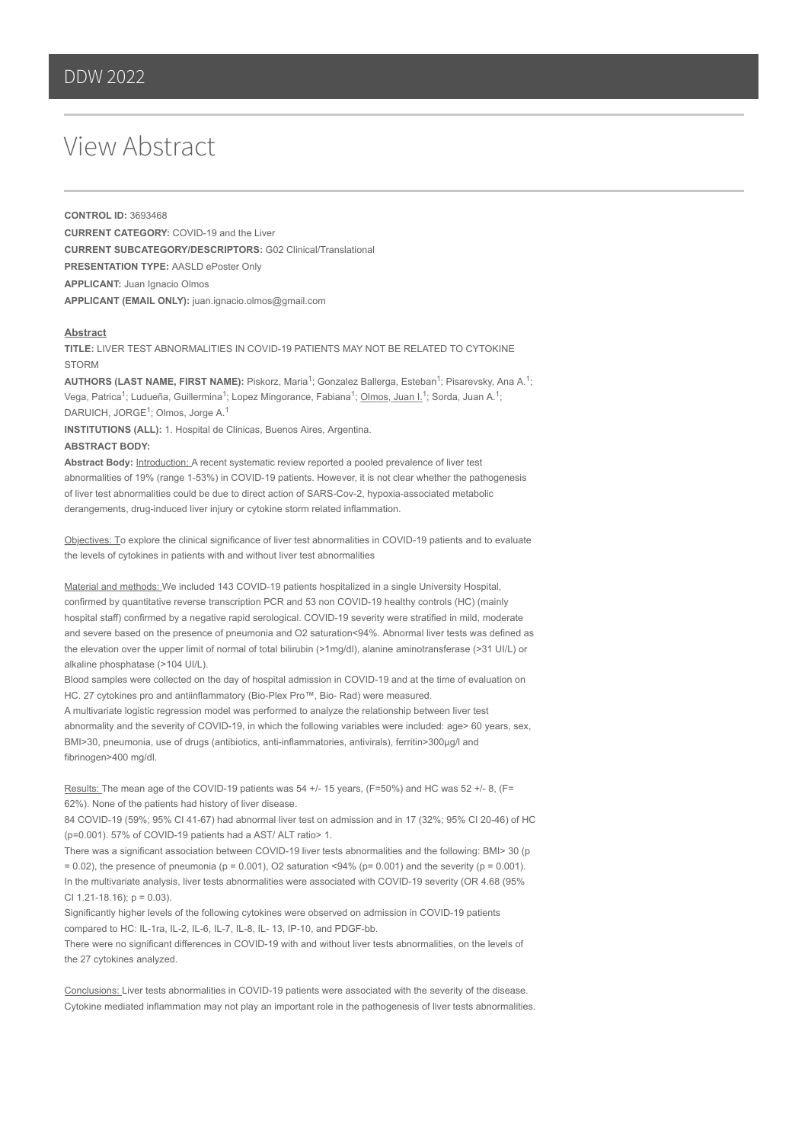## View Abstract

**CONTROL ID:** 3693468 **CURRENT CATEGORY:** COVID-19 and the Liver **CURRENT SUBCATEGORY/DESCRIPTORS:** G02 Clinical/Translational **PRESENTATION TYPE:** AASLD ePoster Only **APPLICANT:** Juan Ignacio Olmos **APPLICANT (EMAIL ONLY):** juan.ignacio.olmos@gmail.com

## **Abstract**

**TITLE:** LIVER TEST ABNORMALITIES IN COVID-19 PATIENTS MAY NOT BE RELATED TO CYTOKINE **STORM** 

AUTHORS (LAST NAME, FIRST NAME): Piskorz, Maria<sup>1</sup>; Gonzalez Ballerga, Esteban<sup>1</sup>; Pisarevsky, Ana A.<sup>1</sup>; Vega, Patrica<sup>1</sup>; Ludueña, Guillermina<sup>1</sup>; Lopez Mingorance, Fabiana<sup>1</sup>; <u>Olmos, Juan I.</u><sup>1</sup>; Sorda, Juan A.<sup>1</sup>; DARUICH, JORGE<sup>1</sup>; Olmos, Jorge A.<sup>1</sup>

**INSTITUTIONS (ALL):** 1. Hospital de Clinicas, Buenos Aires, Argentina. **ABSTRACT BODY:** 

Abstract Body: **Introduction:** A recent systematic review reported a pooled prevalence of liver test abnormalities of 19% (range 1-53%) in COVID-19 patients. However, it is not clear whether the pathogenesis of liver test abnormalities could be due to direct action of SARS-Cov-2, hypoxia-associated metabolic derangements, drug-induced liver injury or cytokine storm related inflammation.

Objectives: To explore the clinical significance of liver test abnormalities in COVID-19 patients and to evaluate the levels of cytokines in patients with and without liver test abnormalities

Material and methods: We included 143 COVID-19 patients hospitalized in a single University Hospital, confirmed by quantitative reverse transcription PCR and 53 non COVID-19 healthy controls (HC) (mainly hospital staff) confirmed by a negative rapid serological. COVID-19 severity were stratified in mild, moderate and severe based on the presence of pneumonia and O2 saturation<94%. Abnormal liver tests was defined as the elevation over the upper limit of normal of total bilirubin (>1mg/dl), alanine aminotransferase (>31 UI/L) or alkaline phosphatase (>104 UI/L).

Blood samples were collected on the day of hospital admission in COVID-19 and at the time of evaluation on HC. 27 cytokines pro and antiinflammatory (Bio-Plex Pro™, Bio- Rad) were measured.

A multivariate logistic regression model was performed to analyze the relationship between liver test abnormality and the severity of COVID-19, in which the following variables were included: age> 60 years, sex, BMI>30, pneumonia, use of drugs (antibiotics, anti-inflammatories, antivirals), ferritin>300µg/l and fibrinogen>400 mg/dl.

Results: The mean age of the COVID-19 patients was 54 +/- 15 years, (F=50%) and HC was 52 +/- 8, (F= 62%). None of the patients had history of liver disease.

84 COVID-19 (59%; 95% CI 41-67) had abnormal liver test on admission and in 17 (32%; 95% CI 20-46) of HC (p=0.001). 57% of COVID-19 patients had a AST/ ALT ratio> 1.

There was a significant association between COVID-19 liver tests abnormalities and the following: BMI> 30 (p  $= 0.02$ ), the presence of pneumonia (p = 0.001), O2 saturation <94% (p= 0.001) and the severity (p = 0.001). In the multivariate analysis, liver tests abnormalities were associated with COVID-19 severity (OR 4.68 (95% CI 1.21-18.16);  $p = 0.03$ ).

Significantly higher levels of the following cytokines were observed on admission in COVID-19 patients compared to HC: IL-1ra, IL-2, IL-6, IL-7, IL-8, IL- 13, IP-10, and PDGF-bb.

There were no significant differences in COVID-19 with and without liver tests abnormalities, on the levels of the 27 cytokines analyzed.

Conclusions: Liver tests abnormalities in COVID-19 patients were associated with the severity of the disease. Cytokine mediated inflammation may not play an important role in the pathogenesis of liver tests abnormalities.